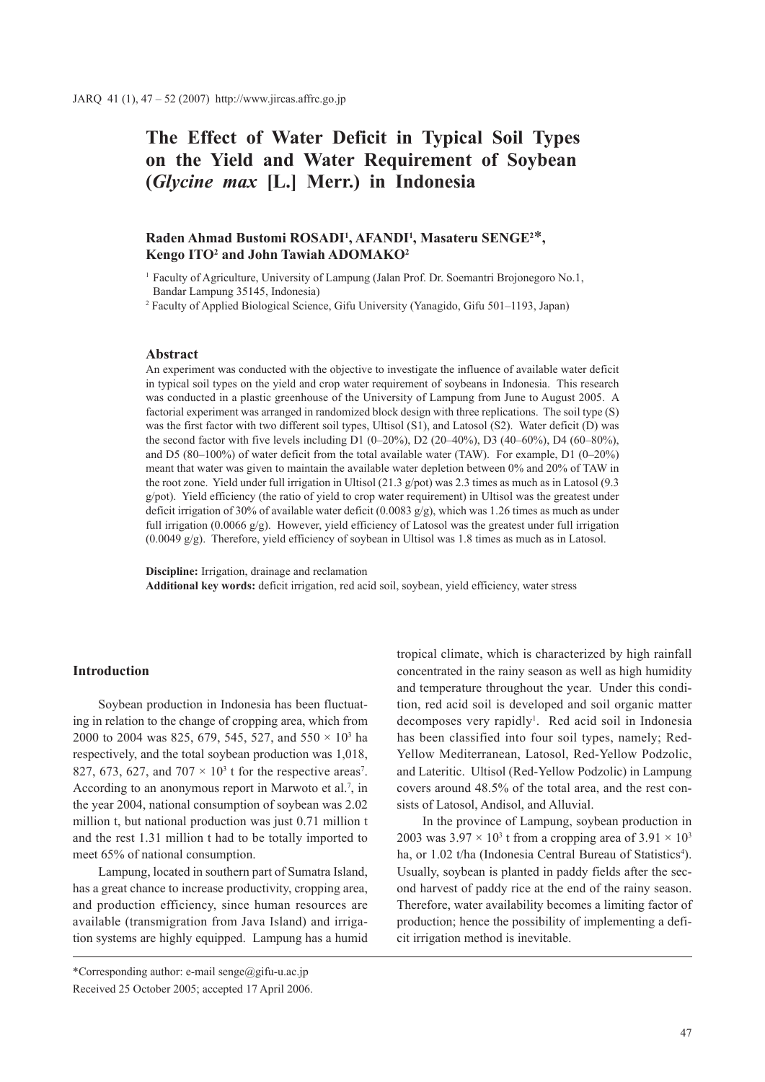# **The Effect of Water Deficit in Typical Soil Types on the Yield and Water Requirement of Soybean (***Glycine max* **[L.] Merr.) in Indonesia**

# Raden Ahmad Bustomi ROSADI<sup>1</sup>, AFANDI<sup>1</sup>, Masateru SENGE<sup>2\*</sup>, **Kengo ITO2 and John Tawiah ADOMAKO2**

<sup>1</sup> Faculty of Agriculture, University of Lampung (Jalan Prof. Dr. Soemantri Brojonegoro No.1, Bandar Lampung 35145, Indonesia)

<sup>2</sup> Faculty of Applied Biological Science, Gifu University (Yanagido, Gifu 501–1193, Japan)

#### **Abstract**

An experiment was conducted with the objective to investigate the influence of available water deficit in typical soil types on the yield and crop water requirement of soybeans in Indonesia. This research was conducted in a plastic greenhouse of the University of Lampung from June to August 2005. A factorial experiment was arranged in randomized block design with three replications. The soil type (S) was the first factor with two different soil types, Ultisol (S1), and Latosol (S2). Water deficit (D) was the second factor with five levels including D1 (0–20%), D2 (20–40%), D3 (40–60%), D4 (60–80%), and D5 (80–100%) of water deficit from the total available water (TAW). For example, D1 (0–20%) meant that water was given to maintain the available water depletion between 0% and 20% of TAW in the root zone. Yield under full irrigation in Ultisol (21.3 g/pot) was 2.3 times as much as in Latosol (9.3 g/pot). Yield efficiency (the ratio of yield to crop water requirement) in Ultisol was the greatest under deficit irrigation of 30% of available water deficit (0.0083  $g/g$ ), which was 1.26 times as much as under full irrigation (0.0066 g/g). However, yield efficiency of Latosol was the greatest under full irrigation (0.0049 g/g). Therefore, yield efficiency of soybean in Ultisol was 1.8 times as much as in Latosol.

**Discipline:** Irrigation, drainage and reclamation **Additional key words:** deficit irrigation, red acid soil, soybean, yield efficiency, water stress

## **Introduction**

Soybean production in Indonesia has been fluctuating in relation to the change of cropping area, which from 2000 to 2004 was 825, 679, 545, 527, and 550  $\times$  10<sup>3</sup> ha respectively, and the total soybean production was 1,018, 827, 673, 627, and  $707 \times 10^3$  t for the respective areas<sup>7</sup>. According to an anonymous report in Marwoto et al.<sup>7</sup>, in the year 2004, national consumption of soybean was 2.02 million t, but national production was just 0.71 million t and the rest 1.31 million t had to be totally imported to meet 65% of national consumption.

Lampung, located in southern part of Sumatra Island, has a great chance to increase productivity, cropping area, and production efficiency, since human resources are available (transmigration from Java Island) and irrigation systems are highly equipped. Lampung has a humid

\*Corresponding author: e-mail senge@gifu-u.ac.jp Received 25 October 2005; accepted 17 April 2006.

tropical climate, which is characterized by high rainfall concentrated in the rainy season as well as high humidity and temperature throughout the year. Under this condition, red acid soil is developed and soil organic matter decomposes very rapidly<sup>1</sup>. Red acid soil in Indonesia has been classified into four soil types, namely; Red-Yellow Mediterranean, Latosol, Red-Yellow Podzolic, and Lateritic. Ultisol (Red-Yellow Podzolic) in Lampung covers around 48.5% of the total area, and the rest consists of Latosol, Andisol, and Alluvial.

In the province of Lampung, soybean production in 2003 was  $3.97 \times 10^3$  t from a cropping area of  $3.91 \times 10^3$ ha, or 1.02 t/ha (Indonesia Central Bureau of Statistics<sup>4</sup>). Usually, soybean is planted in paddy fields after the second harvest of paddy rice at the end of the rainy season. Therefore, water availability becomes a limiting factor of production; hence the possibility of implementing a deficit irrigation method is inevitable.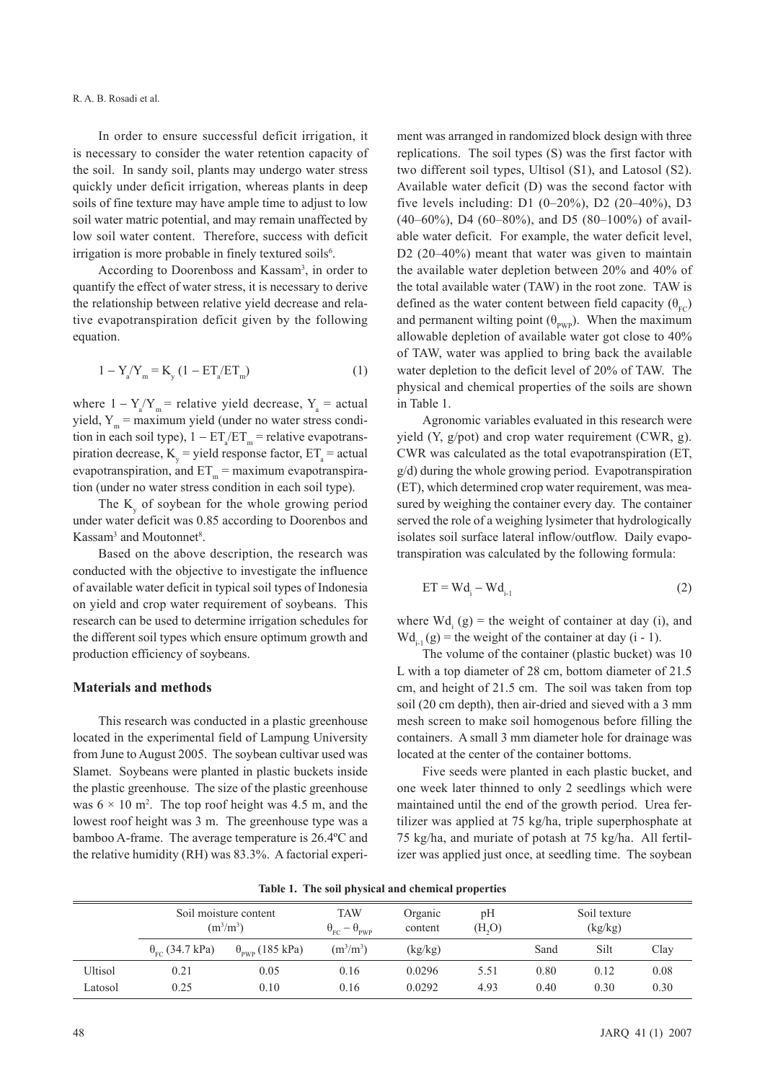#### R. A. B. Rosadi et al.

In order to ensure successful deficit irrigation, it is necessary to consider the water retention capacity of the soil. In sandy soil, plants may undergo water stress quickly under deficit irrigation, whereas plants in deep soils of fine texture may have ample time to adjust to low soil water matric potential, and may remain unaffected by low soil water content. Therefore, success with deficit irrigation is more probable in finely textured soils<sup>6</sup>.

According to Doorenboss and Kassam<sup>3</sup>, in order to quantify the effect of water stress, it is necessary to derive the relationship between relative yield decrease and relative evapotranspiration deficit given by the following equation.

$$
1 - Y_a' Y_m = K_y (1 - ET_a/ET_m)
$$
 (1)

where  $1 - Y_a/Y_m$  = relative yield decrease,  $Y_a$  = actual yield,  $Y_m$  = maximum yield (under no water stress condition in each soil type),  $1 - ET_{\alpha}/ET_{\text{m}}$  = relative evapotranspiration decrease,  $K_y$  = yield response factor,  $ET_a$  = actual evapotranspiration, and  $ET_m$  = maximum evapotranspiration (under no water stress condition in each soil type).

The K  $\sigma$  of soybean for the whole growing period under water deficit was 0.85 according to Doorenbos and Kassam<sup>3</sup> and Moutonnet<sup>8</sup>.

Based on the above description, the research was conducted with the objective to investigate the influence of available water deficit in typical soil types of Indonesia on yield and crop water requirement of soybeans. This research can be used to determine irrigation schedules for the different soil types which ensure optimum growth and production efficiency of soybeans.

## **Materials and methods**

This research was conducted in a plastic greenhouse located in the experimental field of Lampung University from June to August 2005. The soybean cultivar used was Slamet. Soybeans were planted in plastic buckets inside the plastic greenhouse. The size of the plastic greenhouse was  $6 \times 10$  m<sup>2</sup>. The top roof height was 4.5 m, and the lowest roof height was 3 m. The greenhouse type was a bamboo A-frame. The average temperature is 26.4ºC and the relative humidity (RH) was 83.3%. A factorial experiment was arranged in randomized block design with three replications. The soil types (S) was the first factor with two different soil types, Ultisol (S1), and Latosol (S2). Available water deficit (D) was the second factor with five levels including: D1 (0–20%), D2 (20–40%), D3  $(40-60\%)$ , D4  $(60-80\%)$ , and D5  $(80-100\%)$  of available water deficit. For example, the water deficit level, D<sub>2</sub> (20–40%) meant that water was given to maintain the available water depletion between 20% and 40% of the total available water (TAW) in the root zone. TAW is defined as the water content between field capacity  $(\theta_{\text{FC}})$ and permanent wilting point  $(\theta_{\text{pwp}})$ . When the maximum allowable depletion of available water got close to 40% of TAW, water was applied to bring back the available water depletion to the deficit level of 20% of TAW. The physical and chemical properties of the soils are shown in Table 1.

Agronomic variables evaluated in this research were yield (Y, g/pot) and crop water requirement (CWR, g). CWR was calculated as the total evapotranspiration (ET, g/d) during the whole growing period. Evapotranspiration (ET), which determined crop water requirement, was measured by weighing the container every day. The container served the role of a weighing lysimeter that hydrologically isolates soil surface lateral inflow/outflow. Daily evapotranspiration was calculated by the following formula:

$$
ET = Wd_i - Wd_{i-1}
$$
 (2)

where  $Wd_i(g)$  = the weight of container at day (i), and  $Wd_{i,j}(g)$  = the weight of the container at day (i - 1).

The volume of the container (plastic bucket) was 10 L with a top diameter of 28 cm, bottom diameter of 21.5 cm, and height of 21.5 cm. The soil was taken from top soil (20 cm depth), then air-dried and sieved with a 3 mm mesh screen to make soil homogenous before filling the containers. A small 3 mm diameter hole for drainage was located at the center of the container bottoms.

Five seeds were planted in each plastic bucket, and one week later thinned to only 2 seedlings which were maintained until the end of the growth period. Urea fertilizer was applied at 75 kg/ha, triple superphosphate at 75 kg/ha, and muriate of potash at 75 kg/ha. All fertilizer was applied just once, at seedling time. The soybean

|  |  | Table 1. The soil physical and chemical properties |  |
|--|--|----------------------------------------------------|--|
|--|--|----------------------------------------------------|--|

|         | Soil moisture content<br>$(m^3/m^3)$ |                                 | <b>TAW</b><br>$\theta_{\rm FC} - \theta_{\rm PWP}$ | Organic<br>content | pH<br>(H, O) |      | Soil texture |      |
|---------|--------------------------------------|---------------------------------|----------------------------------------------------|--------------------|--------------|------|--------------|------|
|         | $\theta_{\rm{re}}$ (34.7 kPa)        | $\theta_{\text{pwp}}$ (185 kPa) | $(m^3/m^3)$                                        | (kg/kg)            |              | Sand | Silt         | Clay |
| Ultisol | 0.21                                 | 0.05                            | 0.16                                               | 0.0296             | 5.51         | 0.80 | 0.12         | 0.08 |
| Latosol | 0.25                                 | 0.10                            | 0.16                                               | 0.0292             | 4.93         | 0.40 | 0.30         | 0.30 |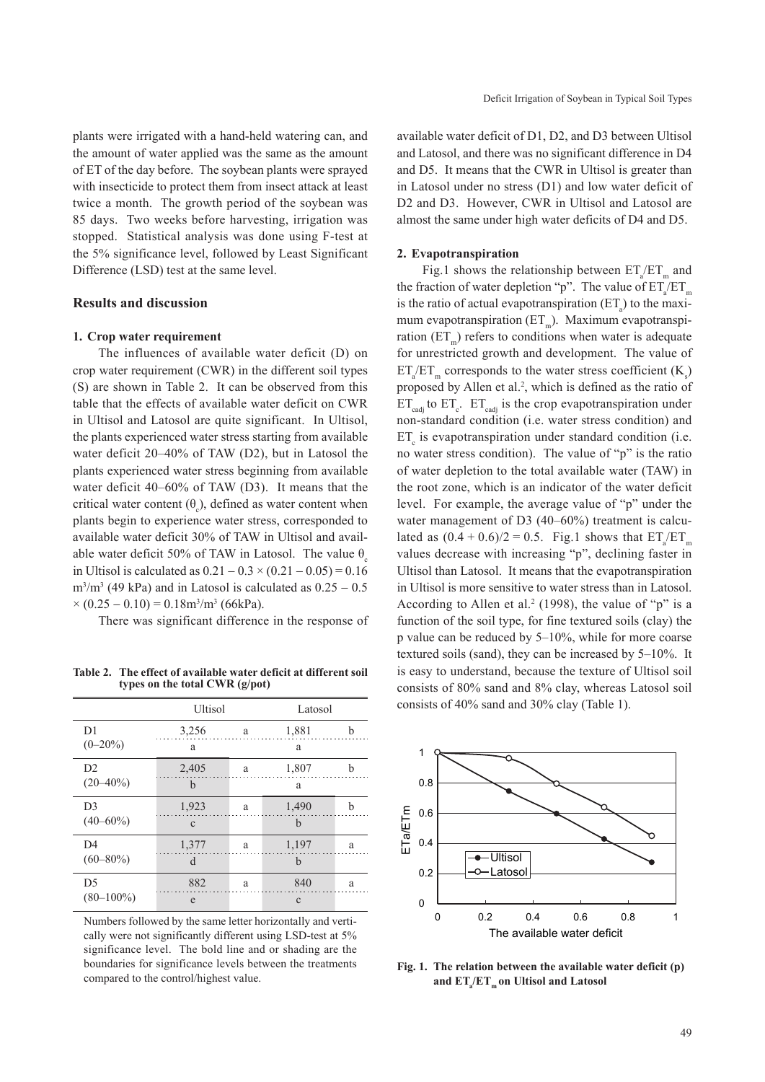plants were irrigated with a hand-held watering can, and the amount of water applied was the same as the amount of ET of the day before. The soybean plants were sprayed with insecticide to protect them from insect attack at least twice a month. The growth period of the soybean was 85 days. Two weeks before harvesting, irrigation was stopped. Statistical analysis was done using F-test at the 5% significance level, followed by Least Significant Difference (LSD) test at the same level.

## **Results and discussion**

#### **1. Crop water requirement**

The influences of available water deficit (D) on crop water requirement (CWR) in the different soil types (S) are shown in Table 2. It can be observed from this table that the effects of available water deficit on CWR in Ultisol and Latosol are quite significant. In Ultisol, the plants experienced water stress starting from available water deficit 20–40% of TAW (D2), but in Latosol the plants experienced water stress beginning from available water deficit 40–60% of TAW (D3). It means that the critical water content  $(\theta_c)$ , defined as water content when plants begin to experience water stress, corresponded to available water deficit 30% of TAW in Ultisol and available water deficit 50% of TAW in Latosol. The value  $\theta$ in Ultisol is calculated as  $0.21 - 0.3 \times (0.21 - 0.05) = 0.16$  $\text{m}^3/\text{m}^3$  (49 kPa) and in Latosol is calculated as  $0.25 - 0.5$  $\times (0.25 - 0.10) = 0.18 \text{m}^3/\text{m}^3$  (66kPa).

There was significant difference in the response of

**Table 2. The effect of available water deficit at different soil types on the total CWR (g/pot)**

|                | Ultisol      |   | Latosol     |   |  |
|----------------|--------------|---|-------------|---|--|
| D <sub>1</sub> | 3,256        | a | 1,881       | h |  |
| $(0-20\%)$     | a            |   | a           |   |  |
| D2             | 2,405        | a | 1,807       | h |  |
| $(20 - 40\%)$  | b            |   | a           |   |  |
| D <sub>3</sub> | 1,923        | a | 1,490       | b |  |
| $(40 - 60\%)$  | $\mathbf{C}$ |   | $\mathbf b$ |   |  |
| D <sub>4</sub> | 1,377        | a | 1,197       | a |  |
| $(60 - 80\%)$  | d            |   | $\mathbf b$ |   |  |
| D <sub>5</sub> | 882          | a | 840         | a |  |
| $(80 - 100\%)$ | e            |   | $\mathbf c$ |   |  |

Numbers followed by the same letter horizontally and vertically were not significantly different using LSD-test at 5% significance level. The bold line and or shading are the boundaries for significance levels between the treatments compared to the control/highest value.

available water deficit of D1, D2, and D3 between Ultisol and Latosol, and there was no significant difference in D4 and D5. It means that the CWR in Ultisol is greater than in Latosol under no stress (D1) and low water deficit of D2 and D3. However, CWR in Ultisol and Latosol are almost the same under high water deficits of D4 and D5.

#### **2. Evapotranspiration**

Fig.1 shows the relationship between  $ET_a/ET_m$  and the fraction of water depletion "p". The value of  $ET_a/ET_m$ is the ratio of actual evapotranspiration  $(ET_a)$  to the maximum evapotranspiration  $(ET_n)$ . Maximum evapotranspiration  $(ET<sub>m</sub>)$  refers to conditions when water is adequate for unrestricted growth and development. The value of  $ET_{a}/ET_{m}$  corresponds to the water stress coefficient  $(K_{s})$ proposed by Allen et al.<sup>2</sup>, which is defined as the ratio of  $ET_{\text{cadj}}$  to  $ET_c$ .  $ET_{\text{cadj}}$  is the crop evapotranspiration under non-standard condition (i.e. water stress condition) and  $ET_c$  is evapotranspiration under standard condition (i.e. no water stress condition). The value of "p" is the ratio of water depletion to the total available water (TAW) in the root zone, which is an indicator of the water deficit level. For example, the average value of "p" under the water management of D3 (40–60%) treatment is calculated as  $(0.4 + 0.6)/2 = 0.5$ . Fig.1 shows that  $ET_a/ET_m$ values decrease with increasing "p", declining faster in Ultisol than Latosol. It means that the evapotranspiration in Ultisol is more sensitive to water stress than in Latosol. According to Allen et al.<sup>2</sup> (1998), the value of "p" is a function of the soil type, for fine textured soils (clay) the p value can be reduced by 5–10%, while for more coarse textured soils (sand), they can be increased by 5–10%. It is easy to understand, because the texture of Ultisol soil consists of 80% sand and 8% clay, whereas Latosol soil consists of 40% sand and 30% clay (Table 1).



**Fig. 1. The relation between the available water deficit (p)**  and  $ET_{a}/ET_{m}$  on Ultisol and Latosol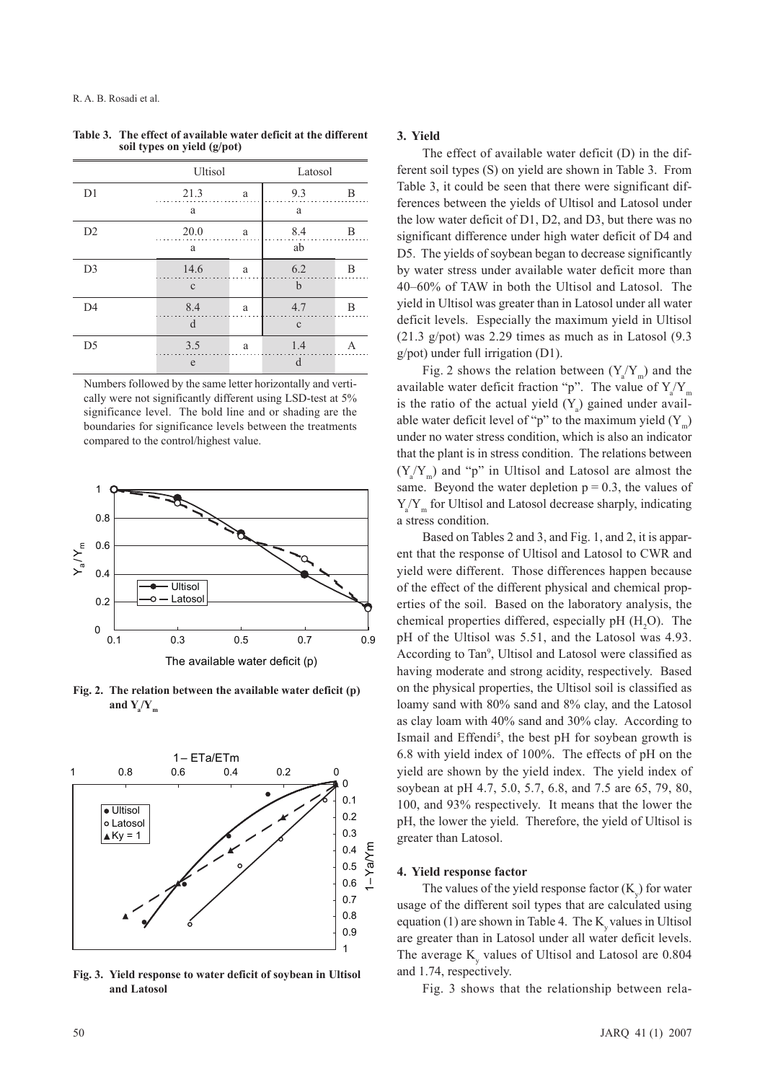|                | Ultisol      |   | Latosol      |   |  |
|----------------|--------------|---|--------------|---|--|
| D1             | 21.3         | a | 9.3          | B |  |
|                | a            |   | a            |   |  |
| D2             | 20.0         | a | 8.4          | B |  |
|                | a            |   | ab           |   |  |
| D <sub>3</sub> | 14.6         | a | 6.2          | B |  |
|                | $\mathbf{C}$ |   | $\mathbf b$  |   |  |
| D <sub>4</sub> | 8.4          | a | 4.7          | B |  |
|                | d            |   | $\mathbf{C}$ |   |  |
| D <sub>5</sub> | 3.5          | a | 1.4          | А |  |
|                | e            |   | d            |   |  |

**Table 3. The effect of available water deficit at the different soil types on yield (g/pot)**

Numbers followed by the same letter horizontally and vertically were not significantly different using LSD-test at 5% significance level. The bold line and or shading are the boundaries for significance levels between the treatments compared to the control/highest value.



**Fig. 2. The relation between the available water deficit (p)**  and  $Y_a/Y_m$ 



**Fig. 3. Yield response to water deficit of soybean in Ultisol and Latosol**

### **3. Yield**

The effect of available water deficit (D) in the different soil types (S) on yield are shown in Table 3. From Table 3, it could be seen that there were significant differences between the yields of Ultisol and Latosol under the low water deficit of D1, D2, and D3, but there was no significant difference under high water deficit of D4 and D5. The yields of soybean began to decrease significantly by water stress under available water deficit more than 40–60% of TAW in both the Ultisol and Latosol. The yield in Ultisol was greater than in Latosol under all water deficit levels. Especially the maximum yield in Ultisol (21.3 g/pot) was 2.29 times as much as in Latosol (9.3 g/pot) under full irrigation (D1).

Fig. 2 shows the relation between  $(Y_a/Y_m)$  and the available water deficit fraction "p". The value of  $Y_a/Y_m$ is the ratio of the actual yield  $(Y_a)$  gained under available water deficit level of "p" to the maximum yield  $(Y_m)$ under no water stress condition, which is also an indicator that the plant is in stress condition. The relations between  $(Y_{a}/Y_{m})$  and "p" in Ultisol and Latosol are almost the same. Beyond the water depletion  $p = 0.3$ , the values of  $Y_{a}/Y_{m}$  for Ultisol and Latosol decrease sharply, indicating a stress condition.

Based on Tables 2 and 3, and Fig. 1, and 2, it is apparent that the response of Ultisol and Latosol to CWR and yield were different. Those differences happen because of the effect of the different physical and chemical properties of the soil. Based on the laboratory analysis, the chemical properties differed, especially pH  $(H_2O)$ . The pH of the Ultisol was 5.51, and the Latosol was 4.93. According to Tan<sup>9</sup>, Ultisol and Latosol were classified as having moderate and strong acidity, respectively. Based on the physical properties, the Ultisol soil is classified as loamy sand with 80% sand and 8% clay, and the Latosol as clay loam with 40% sand and 30% clay. According to Ismail and Effendi<sup>5</sup>, the best pH for soybean growth is 6.8 with yield index of 100%. The effects of pH on the yield are shown by the yield index. The yield index of soybean at pH 4.7, 5.0, 5.7, 6.8, and 7.5 are 65, 79, 80, 100, and 93% respectively. It means that the lower the pH, the lower the yield. Therefore, the yield of Ultisol is greater than Latosol.

#### **4. Yield response factor**

The values of the yield response factor  $(K_y)$  for water usage of the different soil types that are calculated using equation  $(1)$  are shown in Table 4. The K<sub>y</sub> values in Ultisol are greater than in Latosol under all water deficit levels. The average  $K_v$  values of Ultisol and Latosol are 0.804 and 1.74, respectively.

Fig. 3 shows that the relationship between rela-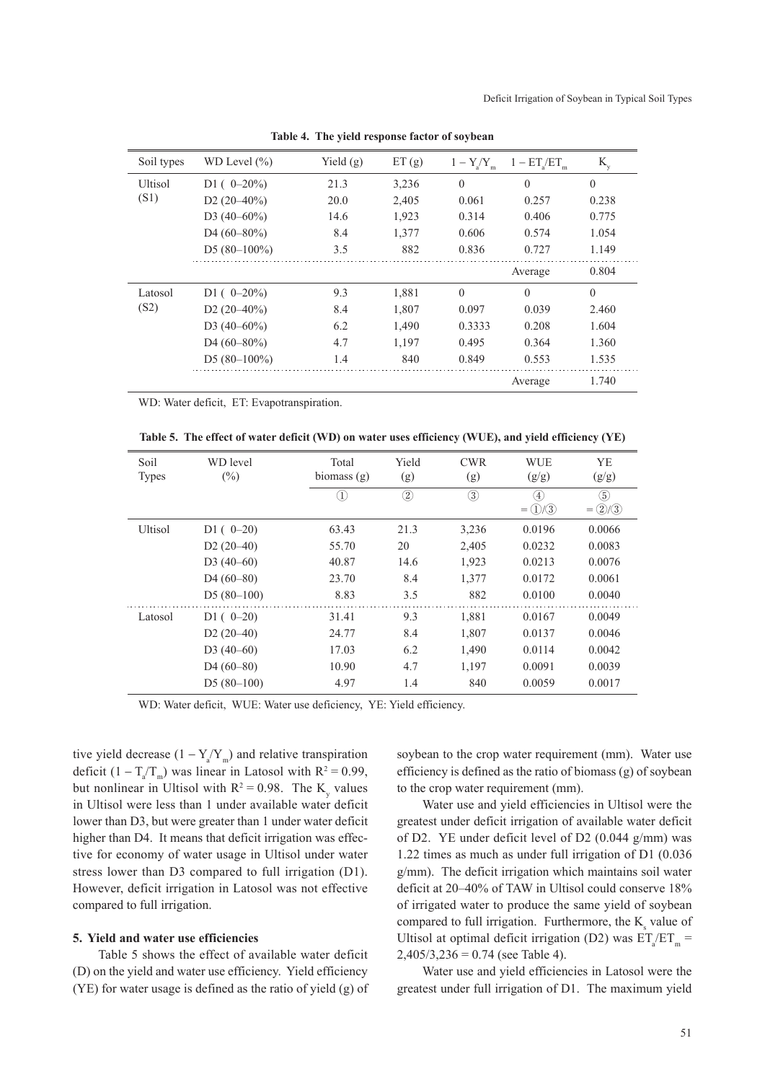| Soil types | WD Level $(\% )$            | Yield $(g)$ | ET(g) | $1 - Y/Y$<br>a m | $1 - ET/ET$<br>'n | $K_{y}$  |
|------------|-----------------------------|-------------|-------|------------------|-------------------|----------|
| Ultisol    | D1 ( $0-20\%$ )             | 21.3        | 3,236 | $\Omega$         | $\Omega$          | $\theta$ |
| (S1)       | D <sub>2</sub> $(20-40\%)$  | 20.0        | 2,405 | 0.061            | 0.257             | 0.238    |
|            | D3 $(40-60\%)$              | 14.6        | 1,923 | 0.314            | 0.406             | 0.775    |
|            | D <sub>4</sub> $(60-80\%)$  | 8.4         | 1,377 | 0.606            | 0.574             | 1.054    |
|            | D5 $(80-100\%)$             | 3.5         | 882   | 0.836            | 0.727             | 1.149    |
|            |                             |             |       |                  | Average           | 0.804    |
| Latosol    | D <sub>1</sub> ( $0-20\%$ ) | 9.3         | 1,881 | $\Omega$         | $\theta$          | $\theta$ |
| (S2)       | D <sub>2</sub> $(20-40\%)$  | 8.4         | 1,807 | 0.097            | 0.039             | 2.460    |
|            | D3 $(40-60\%)$              | 6.2         | 1,490 | 0.3333           | 0.208             | 1.604    |
|            | D <sub>4</sub> $(60-80\%)$  | 4.7         | 1,197 | 0.495            | 0.364             | 1.360    |
|            | D5 $(80-100\%)$             | 1.4         | 840   | 0.849            | 0.553             | 1.535    |
|            |                             |             |       |                  | Average           | 1.740    |

**Table 4. The yield response factor of soybean**

WD: Water deficit, ET: Evapotranspiration.

**Table 5. The effect of water deficit (WD) on water uses efficiency (WUE), and yield efficiency (YE)**

| Soil<br><b>Types</b> | WD level<br>$(\%)$       | Total<br>biomass $(g)$ | Yield<br>(g)  | <b>CWR</b><br>(g) | <b>WUE</b><br>(g/g)       | YE<br>(g/g)               |
|----------------------|--------------------------|------------------------|---------------|-------------------|---------------------------|---------------------------|
|                      |                          | $\left(1\right)$       | $\circled{2}$ | $\circled{3}$     | $^{\circledA}$<br>$= 0/3$ | $\circledS$<br>$= (2)(3)$ |
| Ultisol              | $D1(0-20)$               | 63.43                  | 21.3          | 3,236             | 0.0196                    | 0.0066                    |
|                      | $D2(20-40)$              | 55.70                  | 20            | 2,405             | 0.0232                    | 0.0083                    |
|                      | $D3(40-60)$              | 40.87                  | 14.6          | 1,923             | 0.0213                    | 0.0076                    |
|                      | $D4(60-80)$              | 23.70                  | 8.4           | 1,377             | 0.0172                    | 0.0061                    |
|                      | $D5(80-100)$             | 8.83                   | 3.5           | 882               | 0.0100                    | 0.0040                    |
| Latosol              | $D1(0-20)$               | 31.41                  | 9.3           | 1,881             | 0.0167                    | 0.0049                    |
|                      | $D2(20-40)$              | 24.77                  | 8.4           | 1,807             | 0.0137                    | 0.0046                    |
|                      | $D3(40-60)$              | 17.03                  | 6.2           | 1,490             | 0.0114                    | 0.0042                    |
|                      | D <sub>4</sub> $(60-80)$ | 10.90                  | 4.7           | 1,197             | 0.0091                    | 0.0039                    |
|                      | $D5(80-100)$             | 4.97                   | 1.4           | 840               | 0.0059                    | 0.0017                    |

WD: Water deficit, WUE: Water use deficiency, YE: Yield efficiency.

tive yield decrease  $(1 - Y_a/Y_m)$  and relative transpiration deficit  $(1 - T_a/T_m)$  was linear in Latosol with  $R^2 = 0.99$ , but nonlinear in Ultisol with  $R^2 = 0.98$ . The K<sub>y</sub> values in Ultisol were less than 1 under available water deficit lower than D3, but were greater than 1 under water deficit higher than D4. It means that deficit irrigation was effective for economy of water usage in Ultisol under water stress lower than D3 compared to full irrigation (D1). However, deficit irrigation in Latosol was not effective compared to full irrigation.

## **5. Yield and water use efficiencies**

Table 5 shows the effect of available water deficit (D) on the yield and water use efficiency. Yield efficiency (YE) for water usage is defined as the ratio of yield (g) of

soybean to the crop water requirement (mm). Water use efficiency is defined as the ratio of biomass (g) of soybean to the crop water requirement (mm).

Water use and yield efficiencies in Ultisol were the greatest under deficit irrigation of available water deficit of D2. YE under deficit level of D2 (0.044 g/mm) was 1.22 times as much as under full irrigation of D1 (0.036 g/mm). The deficit irrigation which maintains soil water deficit at 20–40% of TAW in Ultisol could conserve 18% of irrigated water to produce the same yield of soybean compared to full irrigation. Furthermore, the  $K_{s}$  value of Ultisol at optimal deficit irrigation (D2) was  $ET_a/ET_m =$  $2,405/3,236 = 0.74$  (see Table 4).

Water use and yield efficiencies in Latosol were the greatest under full irrigation of D1. The maximum yield